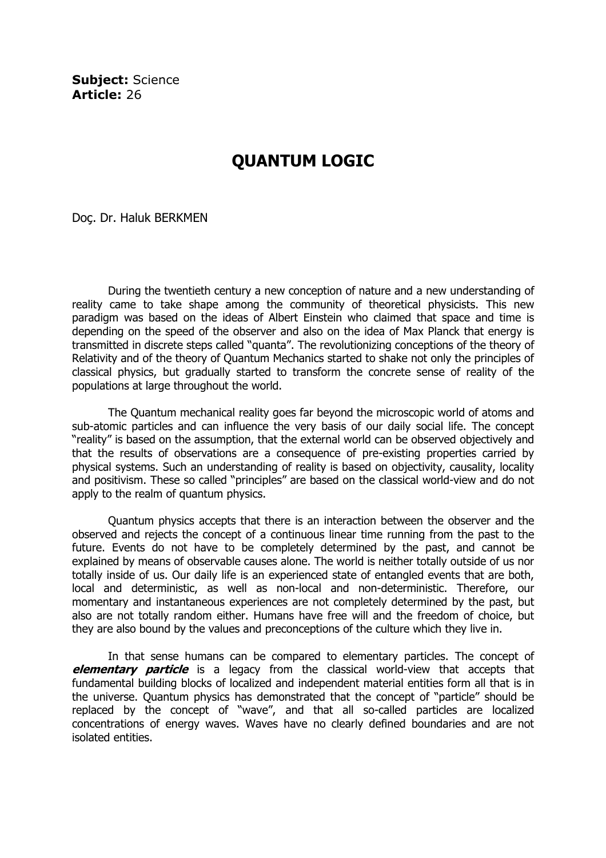Subiect: Science Article: 26

## QUANTUM LOGIC

Doç. Dr. Haluk BERKMEN

During the twentieth century a new conception of nature and a new understanding of reality came to take shape among the community of theoretical physicists. This new paradigm was based on the ideas of Albert Einstein who claimed that space and time is depending on the speed of the observer and also on the idea of Max Planck that energy is transmitted in discrete steps called "quanta". The revolutionizing conceptions of the theory of Relativity and of the theory of Quantum Mechanics started to shake not only the principles of classical physics, but gradually started to transform the concrete sense of reality of the populations at large throughout the world.

The Quantum mechanical reality goes far beyond the microscopic world of atoms and sub-atomic particles and can influence the very basis of our daily social life. The concept "reality" is based on the assumption, that the external world can be observed objectively and that the results of observations are a consequence of pre-existing properties carried by physical systems. Such an understanding of reality is based on objectivity, causality, locality and positivism. These so called "principles" are based on the classical world-view and do not apply to the realm of quantum physics.

Quantum physics accepts that there is an interaction between the observer and the observed and rejects the concept of a continuous linear time running from the past to the future. Events do not have to be completely determined by the past, and cannot be explained by means of observable causes alone. The world is neither totally outside of us nor totally inside of us. Our daily life is an experienced state of entangled events that are both, local and deterministic, as well as non-local and non-deterministic. Therefore, our momentary and instantaneous experiences are not completely determined by the past, but also are not totally random either. Humans have free will and the freedom of choice, but they are also bound by the values and preconceptions of the culture which they live in.

In that sense humans can be compared to elementary particles. The concept of elementary particle is a legacy from the classical world-view that accepts that fundamental building blocks of localized and independent material entities form all that is in the universe. Quantum physics has demonstrated that the concept of "particle" should be replaced by the concept of "wave", and that all so-called particles are localized concentrations of energy waves. Waves have no clearly defined boundaries and are not isolated entities.